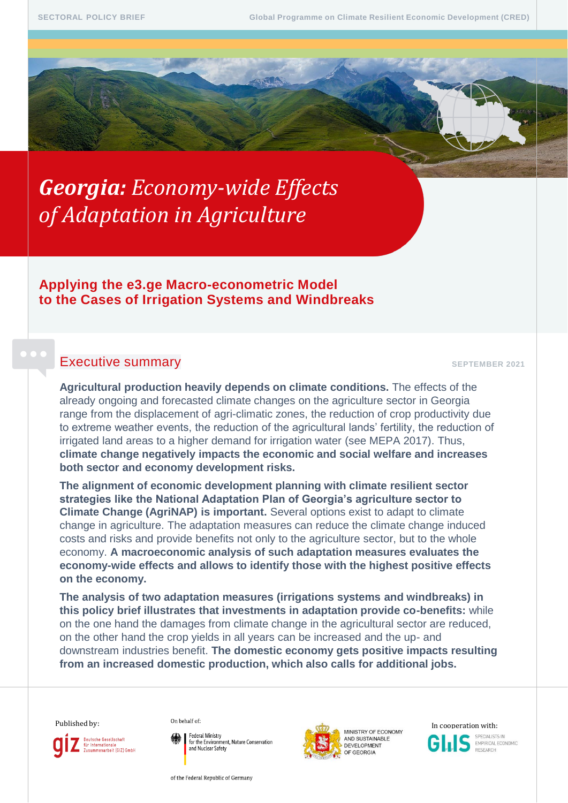# *Georgia: Economy-wide Effects of Adaptation in Agriculture*

# **Applying the e3.ge Macro-econometric Model to the Cases of Irrigation Systems and Windbreaks**

# **Executive summary SEPTEMBER 2021**

**Agricultural production heavily depends on climate conditions.** The effects of the already ongoing and forecasted climate changes on the agriculture sector in Georgia range from the displacement of agri-climatic zones, the reduction of crop productivity due to extreme weather events, the reduction of the agricultural lands' fertility, the reduction of irrigated land areas to a higher demand for irrigation water (see MEPA 2017). Thus, **climate change negatively impacts the economic and social welfare and increases both sector and economy development risks.**

**The alignment of economic development planning with climate resilient sector strategies like the National Adaptation Plan of Georgia's agriculture sector to Climate Change (AgriNAP) is important.** Several options exist to adapt to climate change in agriculture. The adaptation measures can reduce the climate change induced costs and risks and provide benefits not only to the agriculture sector, but to the whole economy. **A macroeconomic analysis of such adaptation measures evaluates the economy-wide effects and allows to identify those with the highest positive effects on the economy.**

**The analysis of two adaptation measures (irrigations systems and windbreaks) in this policy brief illustrates that investments in adaptation provide co-benefits:** while on the one hand the damages from climate change in the agricultural sector are reduced, on the other hand the crop yields in all years can be increased and the up- and downstream industries benefit. **The domestic economy gets positive impacts resulting from an increased domestic production, which also calls for additional jobs.**

Deutsche Gesellschaft

für Internationale<br>Zusammenarbeit (GIZ) GmbH

Federal Ministry for the Environment, Nature Conservation and Nuclear Safety

of the Federal Republic of Germany



AND SUSTAINABLE



EMPIRICAL ECONOMIC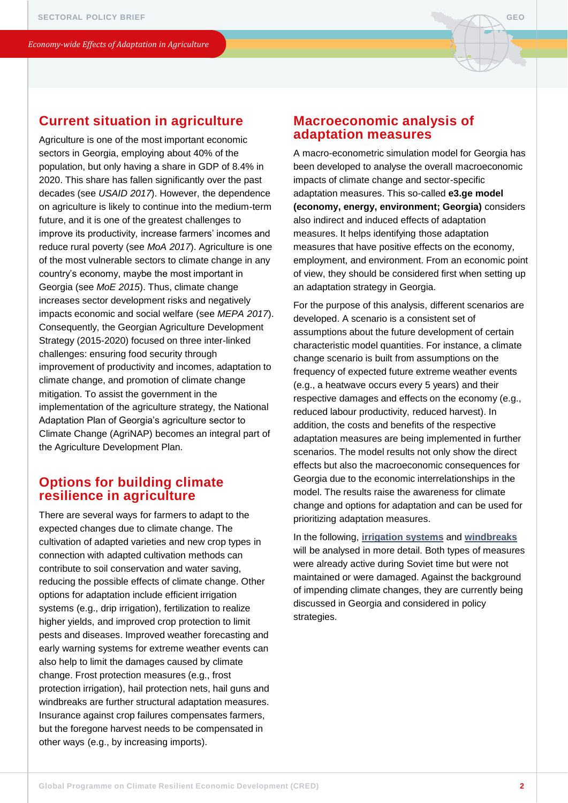

# **Current situation in agriculture**

Agriculture is one of the most important economic sectors in Georgia, employing about 40% of the population, but only having a share in GDP of 8.4% in 2020. This share has fallen significantly over the past decades (see *USAID 2017*). However, the dependence on agriculture is likely to continue into the medium-term future, and it is one of the greatest challenges to improve its productivity, increase farmers' incomes and reduce rural poverty (see *MoA 2017*). Agriculture is one of the most vulnerable sectors to climate change in any country's economy, maybe the most important in Georgia (see *MoE 2015*). Thus, climate change increases sector development risks and negatively impacts economic and social welfare (see *MEPA 2017*). Consequently, the Georgian Agriculture Development Strategy (2015-2020) focused on three inter-linked challenges: ensuring food security through improvement of productivity and incomes, adaptation to climate change, and promotion of climate change mitigation. To assist the government in the implementation of the agriculture strategy, the National Adaptation Plan of Georgia's agriculture sector to Climate Change (AgriNAP) becomes an integral part of the Agriculture Development Plan.

# **Options for building climate resilience in agriculture**

There are several ways for farmers to adapt to the expected changes due to climate change. The cultivation of adapted varieties and new crop types in connection with adapted cultivation methods can contribute to soil conservation and water saving, reducing the possible effects of climate change. Other options for adaptation include efficient irrigation systems (e.g., drip irrigation), fertilization to realize higher yields, and improved crop protection to limit pests and diseases. Improved weather forecasting and early warning systems for extreme weather events can also help to limit the damages caused by climate change. Frost protection measures (e.g., frost protection irrigation), hail protection nets, hail guns and windbreaks are further structural adaptation measures. Insurance against crop failures compensates farmers, but the foregone harvest needs to be compensated in other ways (e.g., by increasing imports).

# **Macroeconomic analysis of adaptation measures**

A macro-econometric simulation model for Georgia has been developed to analyse the overall macroeconomic impacts of climate change and sector-specific adaptation measures. This so-called **e3.ge model (economy, energy, environment; Georgia)** considers also indirect and induced effects of adaptation measures. It helps identifying those adaptation measures that have positive effects on the economy, employment, and environment. From an economic point of view, they should be considered first when setting up an adaptation strategy in Georgia.

For the purpose of this analysis, different scenarios are developed. A scenario is a consistent set of assumptions about the future development of certain characteristic model quantities. For instance, a climate change scenario is built from assumptions on the frequency of expected future extreme weather events (e.g., a heatwave occurs every 5 years) and their respective damages and effects on the economy (e.g., reduced labour productivity, reduced harvest). In addition, the costs and benefits of the respective adaptation measures are being implemented in further scenarios. The model results not only show the direct effects but also the macroeconomic consequences for Georgia due to the economic interrelationships in the model. The results raise the awareness for climate change and options for adaptation and can be used for prioritizing adaptation measures.

In the following, **[irrigation systems](#page-2-0)** and **[windbreaks](#page-5-0)** will be analysed in more detail. Both types of measures were already active during Soviet time but were not maintained or were damaged. Against the background of impending climate changes, they are currently being discussed in Georgia and considered in policy strategies.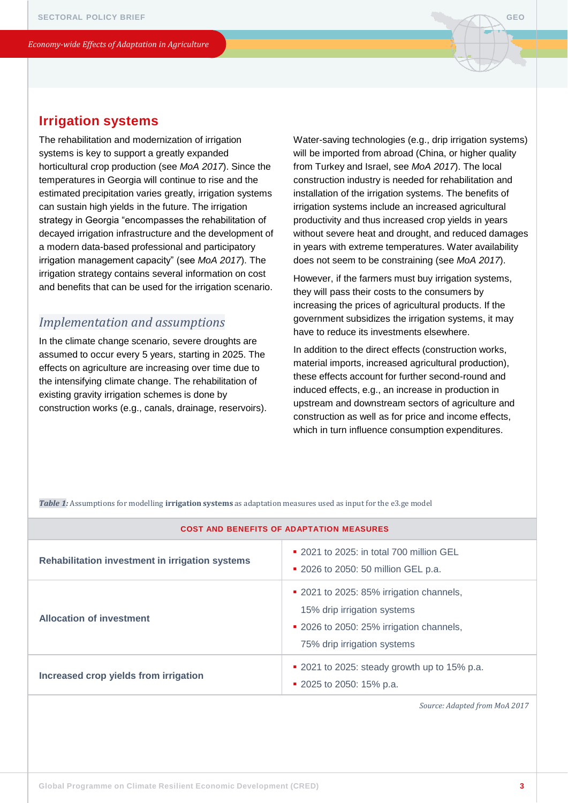# <span id="page-2-0"></span>**Irrigation systems**

The rehabilitation and modernization of irrigation systems is key to support a greatly expanded horticultural crop production (see *MoA 2017*). Since the temperatures in Georgia will continue to rise and the estimated precipitation varies greatly, irrigation systems can sustain high yields in the future. The irrigation strategy in Georgia "encompasses the rehabilitation of decayed irrigation infrastructure and the development of a modern data-based professional and participatory irrigation management capacity" (see *MoA 2017*). The irrigation strategy contains several information on cost and benefits that can be used for the irrigation scenario.

## *Implementation and assumptions*

In the climate change scenario, severe droughts are assumed to occur every 5 years, starting in 2025. The effects on agriculture are increasing over time due to the intensifying climate change. The rehabilitation of existing gravity irrigation schemes is done by construction works (e.g., canals, drainage, reservoirs). Water-saving technologies (e.g., drip irrigation systems) will be imported from abroad (China, or higher quality from Turkey and Israel, see *MoA 2017*). The local construction industry is needed for rehabilitation and installation of the irrigation systems. The benefits of irrigation systems include an increased agricultural productivity and thus increased crop yields in years without severe heat and drought, and reduced damages in years with extreme temperatures. Water availability does not seem to be constraining (see *MoA 2017*).

However, if the farmers must buy irrigation systems, they will pass their costs to the consumers by increasing the prices of agricultural products. If the government subsidizes the irrigation systems, it may have to reduce its investments elsewhere.

In addition to the direct effects (construction works, material imports, increased agricultural production), these effects account for further second-round and induced effects, e.g., an increase in production in upstream and downstream sectors of agriculture and construction as well as for price and income effects, which in turn influence consumption expenditures.

*Table 1:* Assumptions for modelling **irrigation systems** as adaptation measures used as input for the e3.ge model

| <b>COST AND BENEFITS OF ADAPTATION MEASURES</b> |                                                                                                                                                    |
|-------------------------------------------------|----------------------------------------------------------------------------------------------------------------------------------------------------|
| Rehabilitation investment in irrigation systems | $\bullet$ 2021 to 2025; in total 700 million GEL<br>• 2026 to 2050: 50 million GEL p.a.                                                            |
| <b>Allocation of investment</b>                 | ■ 2021 to 2025: 85% irrigation channels,<br>15% drip irrigation systems<br>• 2026 to 2050: 25% irrigation channels,<br>75% drip irrigation systems |
| Increased crop yields from irrigation           | • 2021 to 2025: steady growth up to 15% p.a.<br>■ 2025 to 2050: 15% p.a.                                                                           |

*Source: Adapted from MoA 2017*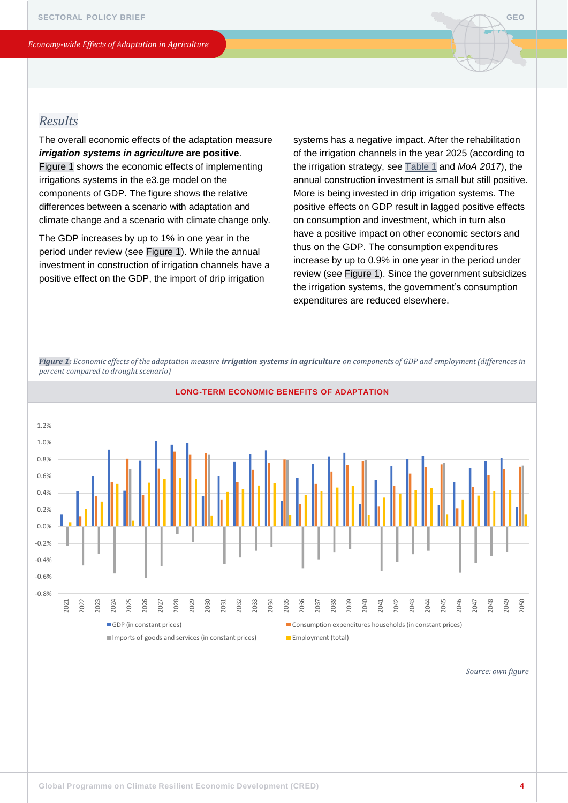

# <span id="page-3-0"></span>*Results*

The overall economic effects of the adaptation measure *irrigation systems in agriculture* **are positive**. Figure 1 shows the economic effects of implementing irrigations systems in the e3.ge model on the components of GDP. The figure shows the relative differences between a scenario with adaptation and climate change and a scenario with climate change only.

The GDP increases by up to 1% in one year in the period under review (see Figure 1). While the annual investment in construction of irrigation channels have a positive effect on the GDP, the import of drip irrigation

systems has a negative impact. After the rehabilitation of the irrigation channels in the year 2025 (according to the irrigation strategy, see [Table 1](#page-2-0) and *MoA 2017*), the annual construction investment is small but still positive. More is being invested in drip irrigation systems. The positive effects on GDP result in lagged positive effects on consumption and investment, which in turn also have a positive impact on other economic sectors and thus on the GDP. The consumption expenditures increase by up to 0.9% in one year in the period under review (see Figure 1). Since the government subsidizes the irrigation systems, the government's consumption expenditures are reduced elsewhere.

*Figure 1: Economic effects of the adaptation measure irrigation systems in agriculture on components of GDP and employment (differences in percent compared to drought scenario)*



**LONG-TERM ECONOMIC BENEFITS OF ADAPTATION**

*Source: own figure*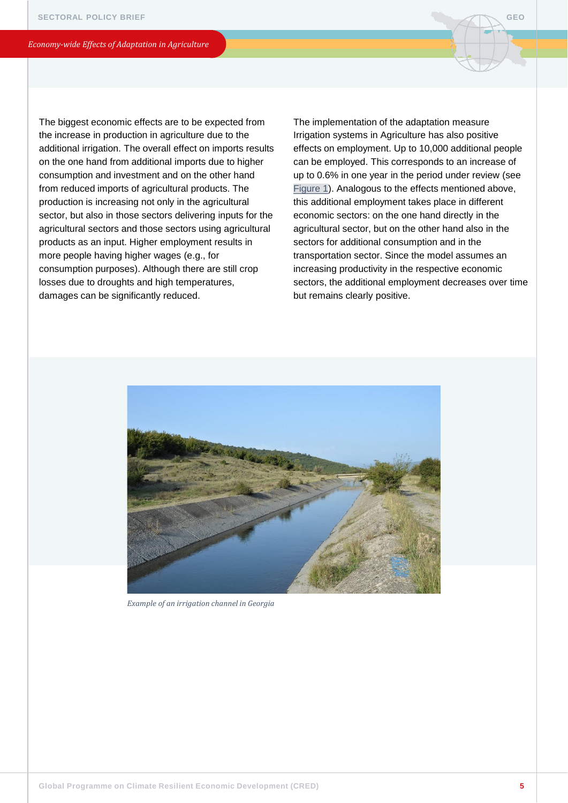The biggest economic effects are to be expected from the increase in production in agriculture due to the additional irrigation. The overall effect on imports results on the one hand from additional imports due to higher consumption and investment and on the other hand from reduced imports of agricultural products. The production is increasing not only in the agricultural sector, but also in those sectors delivering inputs for the agricultural sectors and those sectors using agricultural products as an input. Higher employment results in more people having higher wages (e.g., for consumption purposes). Although there are still crop losses due to droughts and high temperatures, damages can be significantly reduced.

The implementation of the adaptation measure Irrigation systems in Agriculture has also positive effects on employment. Up to 10,000 additional people can be employed. This corresponds to an increase of up to 0.6% in one year in the period under review (see [Figure 1](#page-3-0)). Analogous to the effects mentioned above, this additional employment takes place in different economic sectors: on the one hand directly in the agricultural sector, but on the other hand also in the sectors for additional consumption and in the transportation sector. Since the model assumes an increasing productivity in the respective economic sectors, the additional employment decreases over time but remains clearly positive.



*Example of an irrigation channel in Georgia*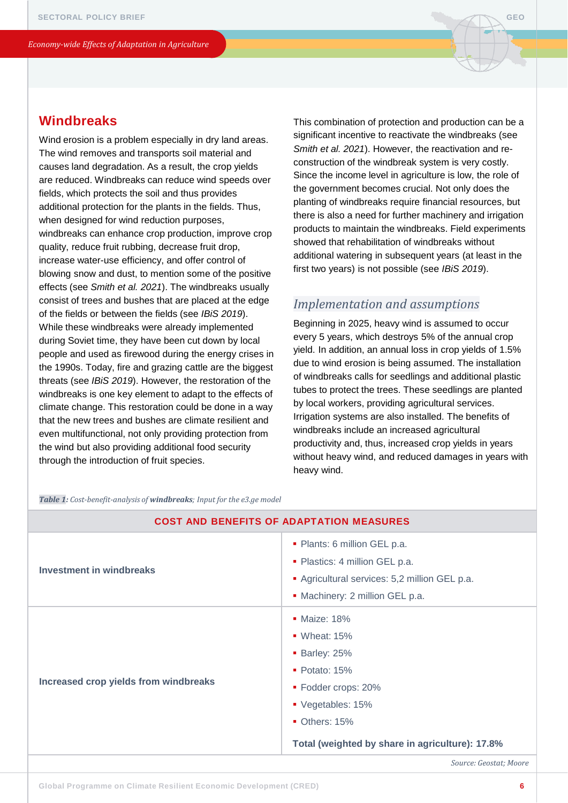# <span id="page-5-0"></span>**Windbreaks**

Wind erosion is a problem especially in dry land areas. The wind removes and transports soil material and causes land degradation. As a result, the crop yields are reduced. Windbreaks can reduce wind speeds over fields, which protects the soil and thus provides additional protection for the plants in the fields. Thus, when designed for wind reduction purposes, windbreaks can enhance crop production, improve crop quality, reduce fruit rubbing, decrease fruit drop, increase water-use efficiency, and offer control of blowing snow and dust, to mention some of the positive effects (see *Smith et al. 2021*). The windbreaks usually consist of trees and bushes that are placed at the edge of the fields or between the fields (see *IBiS 2019*). While these windbreaks were already implemented during Soviet time, they have been cut down by local people and used as firewood during the energy crises in the 1990s. Today, fire and grazing cattle are the biggest threats (see *IBiS 2019*). However, the restoration of the windbreaks is one key element to adapt to the effects of climate change. This restoration could be done in a way that the new trees and bushes are climate resilient and even multifunctional, not only providing protection from the wind but also providing additional food security through the introduction of fruit species.

This combination of protection and production can be a significant incentive to reactivate the windbreaks (see *Smith et al. 2021*). However, the reactivation and reconstruction of the windbreak system is very costly. Since the income level in agriculture is low, the role of the government becomes crucial. Not only does the planting of windbreaks require financial resources, but there is also a need for further machinery and irrigation products to maintain the windbreaks. Field experiments showed that rehabilitation of windbreaks without additional watering in subsequent years (at least in the first two years) is not possible (see *IBiS 2019*).

## *Implementation and assumptions*

Beginning in 2025, heavy wind is assumed to occur every 5 years, which destroys 5% of the annual crop yield. In addition, an annual loss in crop yields of 1.5% due to wind erosion is being assumed. The installation of windbreaks calls for seedlings and additional plastic tubes to protect the trees. These seedlings are planted by local workers, providing agricultural services. Irrigation systems are also installed. The benefits of windbreaks include an increased agricultural productivity and, thus, increased crop yields in years without heavy wind, and reduced damages in years with heavy wind.

*Table 1: Cost-benefit-analysis of windbreaks; Input for the e3.ge model*

| <b>COST AND BENEFITS OF ADAPTATION MEASURES</b> |                                                                                                                                                                                                        |
|-------------------------------------------------|--------------------------------------------------------------------------------------------------------------------------------------------------------------------------------------------------------|
| <b>Investment in windbreaks</b>                 | • Plants: 6 million GEL p.a.<br>• Plastics: 4 million GEL p.a.<br>Agricultural services: 5,2 million GEL p.a.<br>• Machinery: 2 million GEL p.a.                                                       |
| Increased crop yields from windbreaks           | • Maize: 18%<br>$\bullet$ Wheat: 15%<br><b>Barley: 25%</b><br>$\blacksquare$ Potato: 15%<br>• Fodder crops: 20%<br>■ Vegetables: 15%<br>Others: 15%<br>Total (weighted by share in agriculture): 17.8% |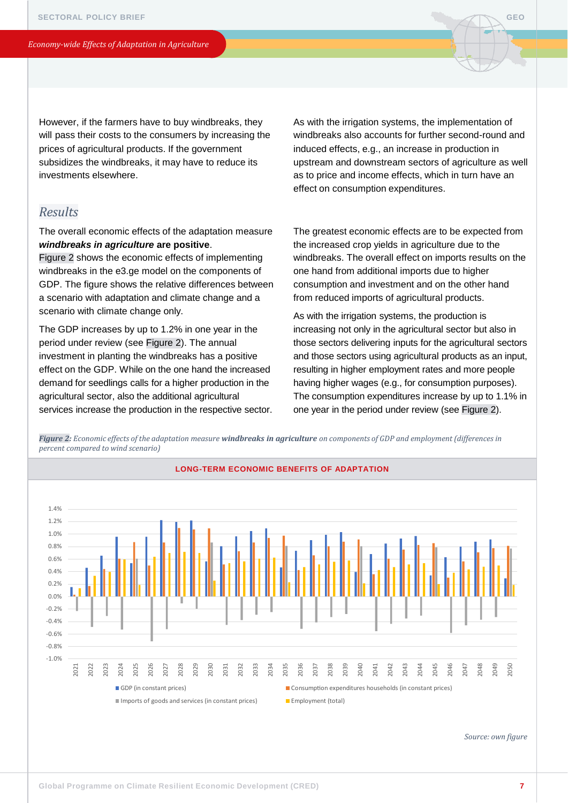However, if the farmers have to buy windbreaks, they will pass their costs to the consumers by increasing the prices of agricultural products. If the government subsidizes the windbreaks, it may have to reduce its investments elsewhere.

## *Results*

The overall economic effects of the adaptation measure *windbreaks in agriculture* **are positive**.

Figure 2 shows the economic effects of implementing windbreaks in the e3.ge model on the components of GDP. The figure shows the relative differences between a scenario with adaptation and climate change and a scenario with climate change only.

The GDP increases by up to 1.2% in one year in the period under review (see Figure 2). The annual investment in planting the windbreaks has a positive effect on the GDP. While on the one hand the increased demand for seedlings calls for a higher production in the agricultural sector, also the additional agricultural services increase the production in the respective sector. As with the irrigation systems, the implementation of windbreaks also accounts for further second-round and induced effects, e.g., an increase in production in upstream and downstream sectors of agriculture as well as to price and income effects, which in turn have an effect on consumption expenditures.

The greatest economic effects are to be expected from the increased crop yields in agriculture due to the windbreaks. The overall effect on imports results on the one hand from additional imports due to higher consumption and investment and on the other hand from reduced imports of agricultural products.

As with the irrigation systems, the production is increasing not only in the agricultural sector but also in those sectors delivering inputs for the agricultural sectors and those sectors using agricultural products as an input, resulting in higher employment rates and more people having higher wages (e.g., for consumption purposes). The consumption expenditures increase by up to 1.1% in one year in the period under review (see Figure 2).

*Figure 2: Economic effects of the adaptation measure windbreaks in agriculture on components of GDP and employment (differences in percent compared to wind scenario)*



*Source: own figure*

**GEO**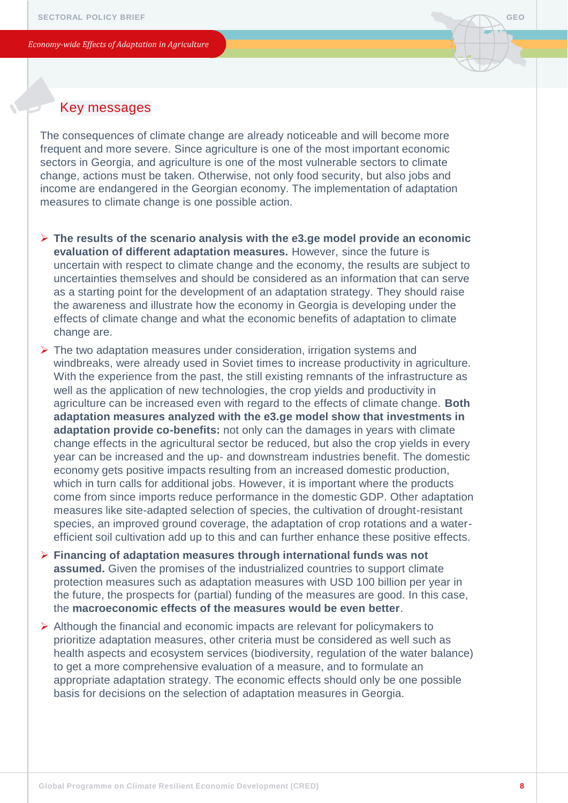

# Key messages

The consequences of climate change are already noticeable and will become more frequent and more severe. Since agriculture is one of the most important economic sectors in Georgia, and agriculture is one of the most vulnerable sectors to climate change, actions must be taken. Otherwise, not only food security, but also jobs and income are endangered in the Georgian economy. The implementation of adaptation measures to climate change is one possible action.

- ➢ **The results of the scenario analysis with the e3.ge model provide an economic evaluation of different adaptation measures.** However, since the future is uncertain with respect to climate change and the economy, the results are subject to uncertainties themselves and should be considered as an information that can serve as a starting point for the development of an adaptation strategy. They should raise the awareness and illustrate how the economy in Georgia is developing under the effects of climate change and what the economic benefits of adaptation to climate change are.
- ➢ The two adaptation measures under consideration, irrigation systems and windbreaks, were already used in Soviet times to increase productivity in agriculture. With the experience from the past, the still existing remnants of the infrastructure as well as the application of new technologies, the crop yields and productivity in agriculture can be increased even with regard to the effects of climate change. **Both adaptation measures analyzed with the e3.ge model show that investments in adaptation provide co-benefits:** not only can the damages in years with climate change effects in the agricultural sector be reduced, but also the crop yields in every year can be increased and the up- and downstream industries benefit. The domestic economy gets positive impacts resulting from an increased domestic production, which in turn calls for additional jobs. However, it is important where the products come from since imports reduce performance in the domestic GDP. Other adaptation measures like site-adapted selection of species, the cultivation of drought-resistant species, an improved ground coverage, the adaptation of crop rotations and a waterefficient soil cultivation add up to this and can further enhance these positive effects.
- ➢ **Financing of adaptation measures through international funds was not assumed.** Given the promises of the industrialized countries to support climate protection measures such as adaptation measures with USD 100 billion per year in the future, the prospects for (partial) funding of the measures are good. In this case, the **macroeconomic effects of the measures would be even better**.
- ➢ Although the financial and economic impacts are relevant for policymakers to prioritize adaptation measures, other criteria must be considered as well such as health aspects and ecosystem services (biodiversity, regulation of the water balance) to get a more comprehensive evaluation of a measure, and to formulate an appropriate adaptation strategy. The economic effects should only be one possible basis for decisions on the selection of adaptation measures in Georgia.